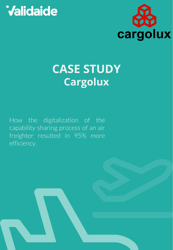# **Validaide**



### **CASE STUDY Cargolux**

How the digitalization of the capability sharing process of an air freighter resulted in 95% more efficiency.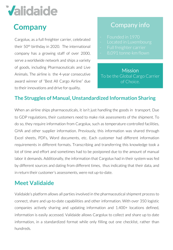## **Validaide**

### **Company**

Cargolux, as a full freighter carrier, celebrated their 50th birthday in 2020. The international company has a growing staff of over 2000, serve a worldwide network and ships a variety of goods, including Pharmaceuticals and Live Animals. The airline is the 4-year consecutive award winner of "Best All Cargo Airline" due to their innovations and drive for quality.

### Company info

- 
- 
- 
- 

**Mission** To be the Global Cargo Carrier of Choice.

#### **The Struggles of Manual, Unstandardized Information Sharing**

When an airline ships pharmaceuticals, it isn't just handling the goods in transport. Due to GDP regulations, their customers need to make risk assessments of the shipment. To do so, they require information from Cargolux, such as temperature-controlled facilities, GHA and other supplier information. Previously, this information was shared through Excel sheets, PDFs, Word documents, etc. Each customer had different information requirements in different formats. Transcribing and transferring this knowledge took a lot of time and effort and sometimes had to be postponed due to the amount of manual labor it demands. Additionally, the information that Cargolux had in their system was fed by different sources and dating from different times, thus indicating that their data, and in return their customer's assessments, were not up-to-date.

#### **Meet Validaide**

Validaide's platform allows all parties involved in the pharmaceutical shipment process to connect, share and up-to-date capabilities and other information. With over 350 logistic companies actively sharing and updating information and 1.400+ locations defined, information is easily accessed. Validaide allows Cargolux to collect and share up to date information, in a standardized format while only filling out one checklist, rather than hundreds.